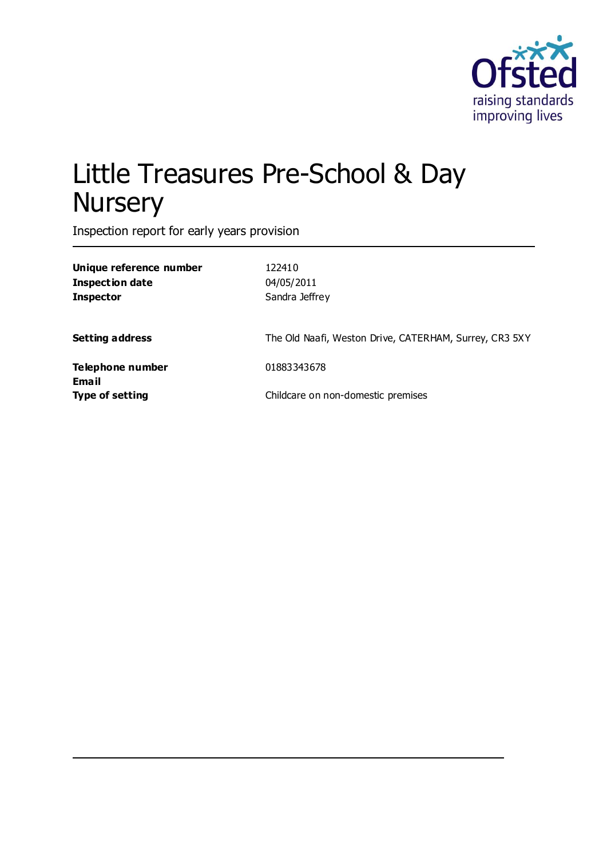

# Little Treasures Pre-School & Day **Nursery**

Inspection report for early years provision

| Unique reference number<br><b>Inspection date</b><br><b>Inspector</b> | 122410<br>04/05/2011<br>Sandra Jeffrey                 |
|-----------------------------------------------------------------------|--------------------------------------------------------|
| <b>Setting address</b>                                                | The Old Naafi, Weston Drive, CATERHAM, Surrey, CR3 5XY |
| Telephone number<br>Email<br><b>Type of setting</b>                   | 01883343678<br>Childcare on non-domestic premises      |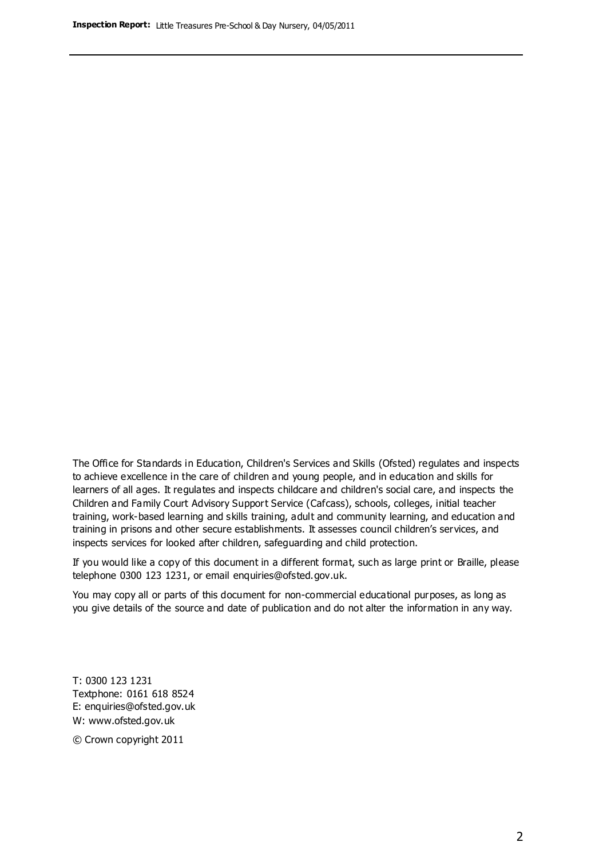The Office for Standards in Education, Children's Services and Skills (Ofsted) regulates and inspects to achieve excellence in the care of children and young people, and in education and skills for learners of all ages. It regulates and inspects childcare and children's social care, and inspects the Children and Family Court Advisory Support Service (Cafcass), schools, colleges, initial teacher training, work-based learning and skills training, adult and community learning, and education and training in prisons and other secure establishments. It assesses council children's services, and inspects services for looked after children, safeguarding and child protection.

If you would like a copy of this document in a different format, such as large print or Braille, please telephone 0300 123 1231, or email enquiries@ofsted.gov.uk.

You may copy all or parts of this document for non-commercial educational purposes, as long as you give details of the source and date of publication and do not alter the information in any way.

T: 0300 123 1231 Textphone: 0161 618 8524 E: enquiries@ofsted.gov.uk W: [www.ofsted.gov.uk](http://www.ofsted.gov.uk/)

© Crown copyright 2011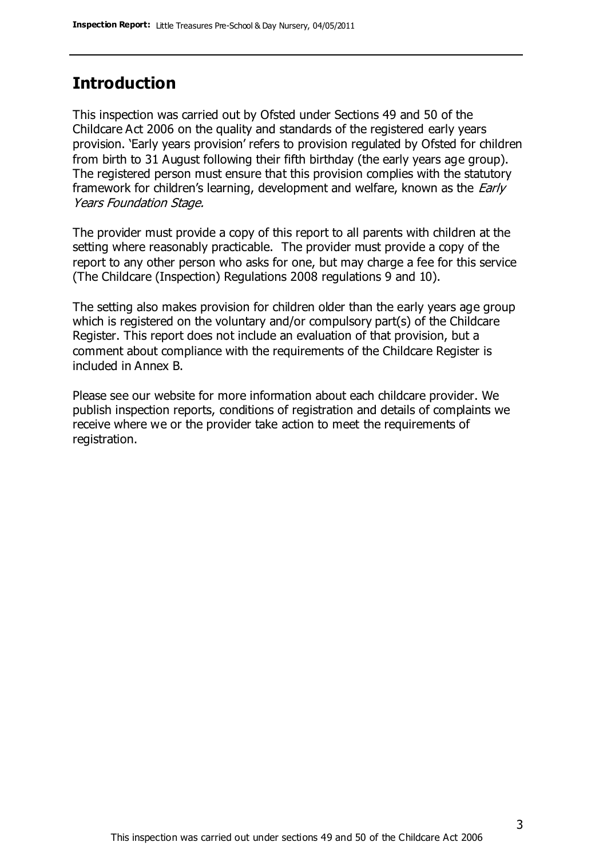# **Introduction**

This inspection was carried out by Ofsted under Sections 49 and 50 of the Childcare Act 2006 on the quality and standards of the registered early years provision. 'Early years provision' refers to provision regulated by Ofsted for children from birth to 31 August following their fifth birthday (the early years age group). The registered person must ensure that this provision complies with the statutory framework for children's learning, development and welfare, known as the *Early* Years Foundation Stage.

The provider must provide a copy of this report to all parents with children at the setting where reasonably practicable. The provider must provide a copy of the report to any other person who asks for one, but may charge a fee for this service (The Childcare (Inspection) Regulations 2008 regulations 9 and 10).

The setting also makes provision for children older than the early years age group which is registered on the voluntary and/or compulsory part(s) of the Childcare Register. This report does not include an evaluation of that provision, but a comment about compliance with the requirements of the Childcare Register is included in Annex B.

Please see our website for more information about each childcare provider. We publish inspection reports, conditions of registration and details of complaints we receive where we or the provider take action to meet the requirements of registration.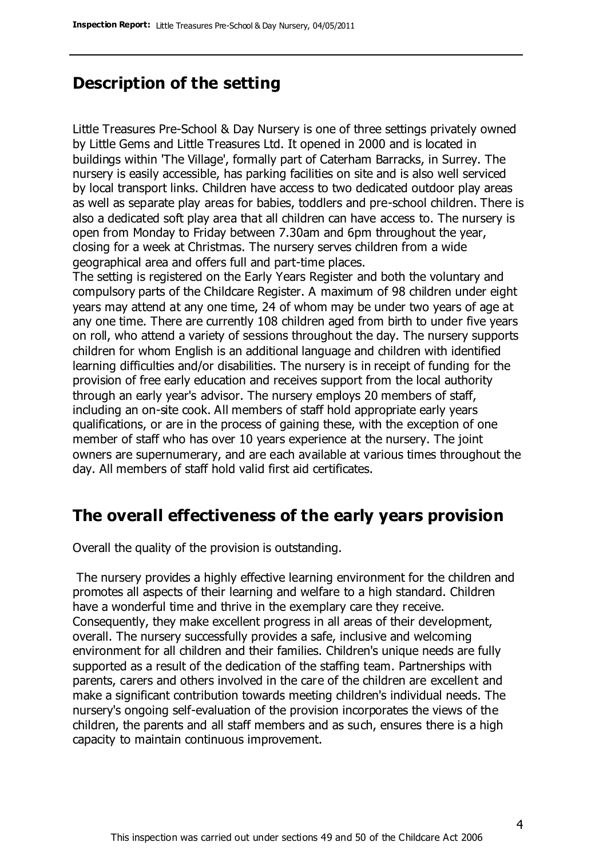# **Description of the setting**

Little Treasures Pre-School & Day Nursery is one of three settings privately owned by Little Gems and Little Treasures Ltd. It opened in 2000 and is located in buildings within 'The Village', formally part of Caterham Barracks, in Surrey. The nursery is easily accessible, has parking facilities on site and is also well serviced by local transport links. Children have access to two dedicated outdoor play areas as well as separate play areas for babies, toddlers and pre-school children. There is also a dedicated soft play area that all children can have access to. The nursery is open from Monday to Friday between 7.30am and 6pm throughout the year, closing for a week at Christmas. The nursery serves children from a wide geographical area and offers full and part-time places.

The setting is registered on the Early Years Register and both the voluntary and compulsory parts of the Childcare Register. A maximum of 98 children under eight years may attend at any one time, 24 of whom may be under two years of age at any one time. There are currently 108 children aged from birth to under five years on roll, who attend a variety of sessions throughout the day. The nursery supports children for whom English is an additional language and children with identified learning difficulties and/or disabilities. The nursery is in receipt of funding for the provision of free early education and receives support from the local authority through an early year's advisor. The nursery employs 20 members of staff, including an on-site cook. All members of staff hold appropriate early years qualifications, or are in the process of gaining these, with the exception of one member of staff who has over 10 years experience at the nursery. The joint owners are supernumerary, and are each available at various times throughout the day. All members of staff hold valid first aid certificates.

# **The overall effectiveness of the early years provision**

Overall the quality of the provision is outstanding.

The nursery provides a highly effective learning environment for the children and promotes all aspects of their learning and welfare to a high standard. Children have a wonderful time and thrive in the exemplary care they receive. Consequently, they make excellent progress in all areas of their development, overall. The nursery successfully provides a safe, inclusive and welcoming environment for all children and their families. Children's unique needs are fully supported as a result of the dedication of the staffing team. Partnerships with parents, carers and others involved in the care of the children are excellent and make a significant contribution towards meeting children's individual needs. The nursery's ongoing self-evaluation of the provision incorporates the views of the children, the parents and all staff members and as such, ensures there is a high capacity to maintain continuous improvement.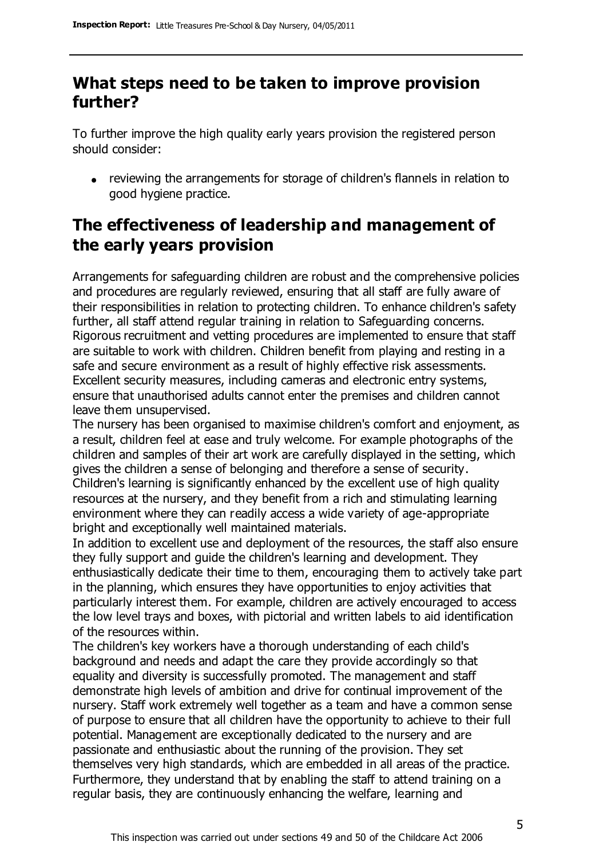# **What steps need to be taken to improve provision further?**

To further improve the high quality early years provision the registered person should consider:

reviewing the arrangements for storage of children's flannels in relation to good hygiene practice.

# **The effectiveness of leadership and management of the early years provision**

Arrangements for safeguarding children are robust and the comprehensive policies and procedures are regularly reviewed, ensuring that all staff are fully aware of their responsibilities in relation to protecting children. To enhance children's safety further, all staff attend regular training in relation to Safeguarding concerns. Rigorous recruitment and vetting procedures are implemented to ensure that staff are suitable to work with children. Children benefit from playing and resting in a safe and secure environment as a result of highly effective risk assessments. Excellent security measures, including cameras and electronic entry systems, ensure that unauthorised adults cannot enter the premises and children cannot leave them unsupervised.

The nursery has been organised to maximise children's comfort and enjoyment, as a result, children feel at ease and truly welcome. For example photographs of the children and samples of their art work are carefully displayed in the setting, which gives the children a sense of belonging and therefore a sense of security. Children's learning is significantly enhanced by the excellent use of high quality resources at the nursery, and they benefit from a rich and stimulating learning environment where they can readily access a wide variety of age-appropriate bright and exceptionally well maintained materials.

In addition to excellent use and deployment of the resources, the staff also ensure they fully support and guide the children's learning and development. They enthusiastically dedicate their time to them, encouraging them to actively take part in the planning, which ensures they have opportunities to enjoy activities that particularly interest them. For example, children are actively encouraged to access the low level trays and boxes, with pictorial and written labels to aid identification of the resources within.

The children's key workers have a thorough understanding of each child's background and needs and adapt the care they provide accordingly so that equality and diversity is successfully promoted. The management and staff demonstrate high levels of ambition and drive for continual improvement of the nursery. Staff work extremely well together as a team and have a common sense of purpose to ensure that all children have the opportunity to achieve to their full potential. Management are exceptionally dedicated to the nursery and are passionate and enthusiastic about the running of the provision. They set themselves very high standards, which are embedded in all areas of the practice. Furthermore, they understand that by enabling the staff to attend training on a regular basis, they are continuously enhancing the welfare, learning and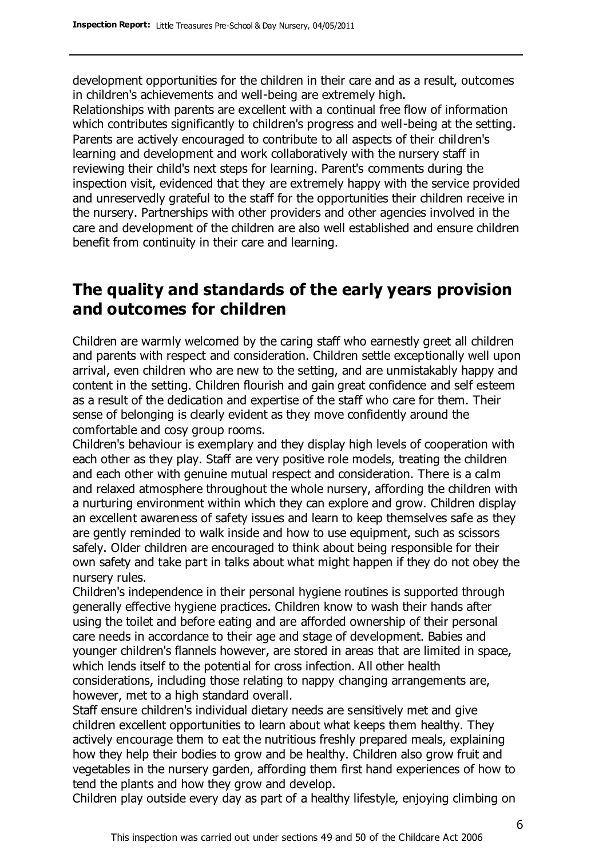development opportunities for the children in their care and as a result, outcomes in children's achievements and well-being are extremely high.

Relationships with parents are excellent with a continual free flow of information which contributes significantly to children's progress and well-being at the setting. Parents are actively encouraged to contribute to all aspects of their children's learning and development and work collaboratively with the nursery staff in reviewing their child's next steps for learning. Parent's comments during the inspection visit, evidenced that they are extremely happy with the service provided and unreservedly grateful to the staff for the opportunities their children receive in the nursery. Partnerships with other providers and other agencies involved in the care and development of the children are also well established and ensure children benefit from continuity in their care and learning.

# **The quality and standards of the early years provision and outcomes for children**

Children are warmly welcomed by the caring staff who earnestly greet all children and parents with respect and consideration. Children settle exceptionally well upon arrival, even children who are new to the setting, and are unmistakably happy and content in the setting. Children flourish and gain great confidence and self esteem as a result of the dedication and expertise of the staff who care for them. Their sense of belonging is clearly evident as they move confidently around the comfortable and cosy group rooms.

Children's behaviour is exemplary and they display high levels of cooperation with each other as they play. Staff are very positive role models, treating the children and each other with genuine mutual respect and consideration. There is a calm and relaxed atmosphere throughout the whole nursery, affording the children with a nurturing environment within which they can explore and grow. Children display an excellent awareness of safety issues and learn to keep themselves safe as they are gently reminded to walk inside and how to use equipment, such as scissors safely. Older children are encouraged to think about being responsible for their own safety and take part in talks about what might happen if they do not obey the nursery rules.

Children's independence in their personal hygiene routines is supported through generally effective hygiene practices. Children know to wash their hands after using the toilet and before eating and are afforded ownership of their personal care needs in accordance to their age and stage of development. Babies and younger children's flannels however, are stored in areas that are limited in space, which lends itself to the potential for cross infection. All other health considerations, including those relating to nappy changing arrangements are, however, met to a high standard overall.

Staff ensure children's individual dietary needs are sensitively met and give children excellent opportunities to learn about what keeps them healthy. They actively encourage them to eat the nutritious freshly prepared meals, explaining how they help their bodies to grow and be healthy. Children also grow fruit and vegetables in the nursery garden, affording them first hand experiences of how to tend the plants and how they grow and develop.

Children play outside every day as part of a healthy lifestyle, enjoying climbing on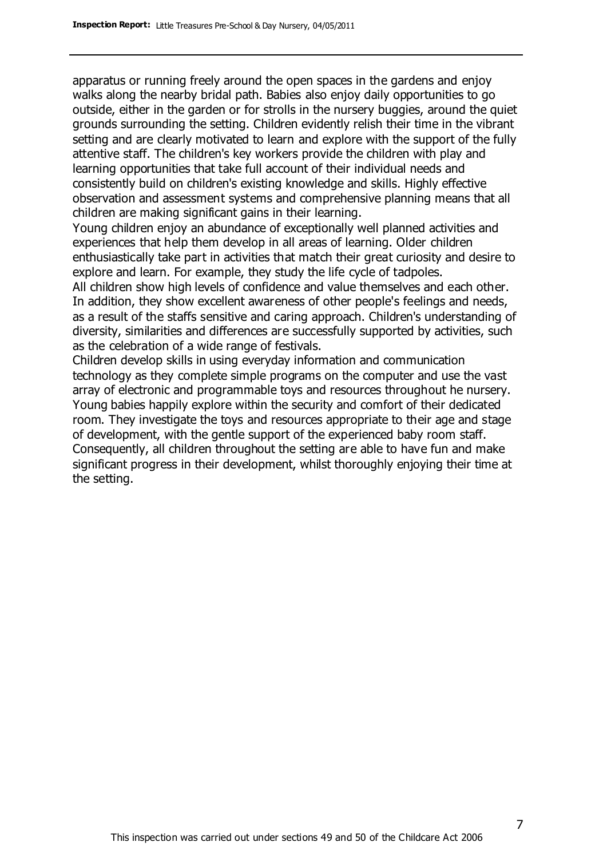apparatus or running freely around the open spaces in the gardens and enjoy walks along the nearby bridal path. Babies also enjoy daily opportunities to go outside, either in the garden or for strolls in the nursery buggies, around the quiet grounds surrounding the setting. Children evidently relish their time in the vibrant setting and are clearly motivated to learn and explore with the support of the fully attentive staff. The children's key workers provide the children with play and learning opportunities that take full account of their individual needs and consistently build on children's existing knowledge and skills. Highly effective observation and assessment systems and comprehensive planning means that all children are making significant gains in their learning.

Young children enjoy an abundance of exceptionally well planned activities and experiences that help them develop in all areas of learning. Older children enthusiastically take part in activities that match their great curiosity and desire to explore and learn. For example, they study the life cycle of tadpoles.

All children show high levels of confidence and value themselves and each other. In addition, they show excellent awareness of other people's feelings and needs, as a result of the staffs sensitive and caring approach. Children's understanding of diversity, similarities and differences are successfully supported by activities, such as the celebration of a wide range of festivals.

Children develop skills in using everyday information and communication technology as they complete simple programs on the computer and use the vast array of electronic and programmable toys and resources throughout he nursery. Young babies happily explore within the security and comfort of their dedicated room. They investigate the toys and resources appropriate to their age and stage of development, with the gentle support of the experienced baby room staff. Consequently, all children throughout the setting are able to have fun and make significant progress in their development, whilst thoroughly enjoying their time at the setting.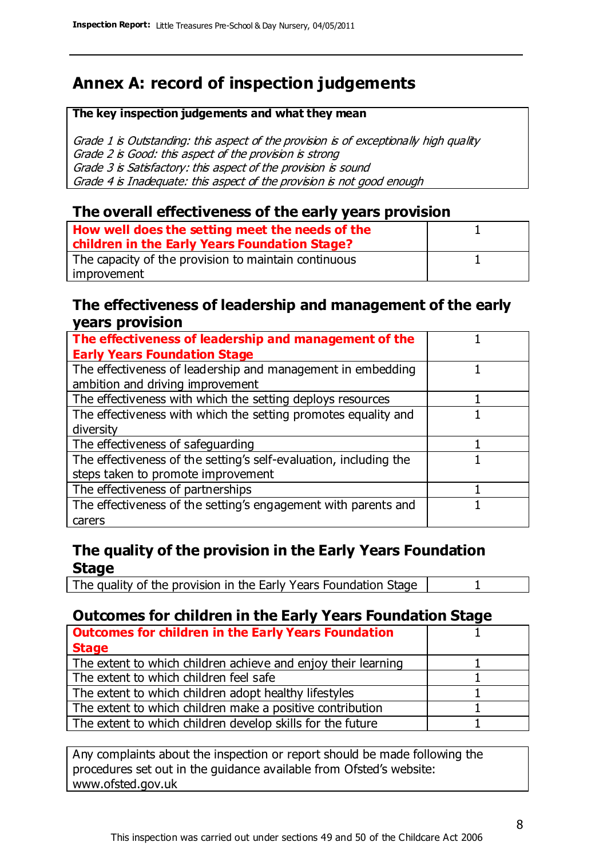# **Annex A: record of inspection judgements**

#### **The key inspection judgements and what they mean**

Grade 1 is Outstanding: this aspect of the provision is of exceptionally high quality Grade 2 is Good: this aspect of the provision is strong Grade 3 is Satisfactory: this aspect of the provision is sound Grade 4 is Inadequate: this aspect of the provision is not good enough

#### **The overall effectiveness of the early years provision**

| How well does the setting meet the needs of the<br>children in the Early Years Foundation Stage? |  |
|--------------------------------------------------------------------------------------------------|--|
| The capacity of the provision to maintain continuous                                             |  |
| improvement                                                                                      |  |

#### **The effectiveness of leadership and management of the early years provision**

| The effectiveness of leadership and management of the             |  |
|-------------------------------------------------------------------|--|
| <b>Early Years Foundation Stage</b>                               |  |
| The effectiveness of leadership and management in embedding       |  |
| ambition and driving improvement                                  |  |
| The effectiveness with which the setting deploys resources        |  |
| The effectiveness with which the setting promotes equality and    |  |
| diversity                                                         |  |
| The effectiveness of safeguarding                                 |  |
| The effectiveness of the setting's self-evaluation, including the |  |
| steps taken to promote improvement                                |  |
| The effectiveness of partnerships                                 |  |
| The effectiveness of the setting's engagement with parents and    |  |
| carers                                                            |  |

#### **The quality of the provision in the Early Years Foundation Stage**

The quality of the provision in the Early Years Foundation Stage | 1

#### **Outcomes for children in the Early Years Foundation Stage**

| <b>Outcomes for children in the Early Years Foundation</b>    |  |
|---------------------------------------------------------------|--|
| <b>Stage</b>                                                  |  |
| The extent to which children achieve and enjoy their learning |  |
| The extent to which children feel safe                        |  |
| The extent to which children adopt healthy lifestyles         |  |
| The extent to which children make a positive contribution     |  |
| The extent to which children develop skills for the future    |  |
|                                                               |  |

Any complaints about the inspection or report should be made following the procedures set out in the guidance available from Ofsted's website: www.ofsted.gov.uk